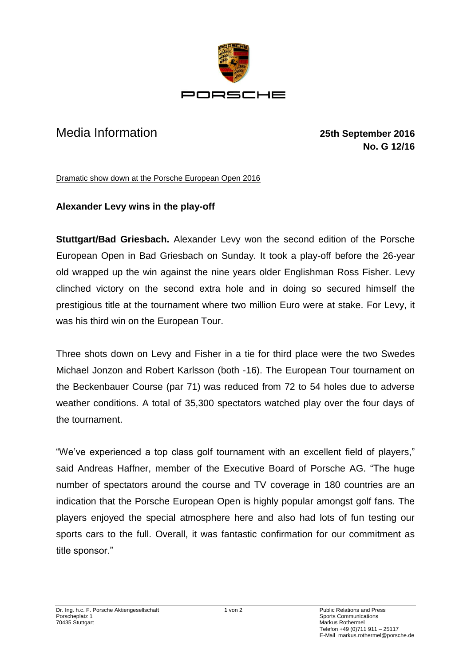

## Media Information **25th September 2016**

**No. G 12/16**

Dramatic show down at the Porsche European Open 2016

## **Alexander Levy wins in the play-off**

**Stuttgart/Bad Griesbach.** Alexander Levy won the second edition of the Porsche European Open in Bad Griesbach on Sunday. It took a play-off before the 26-year old wrapped up the win against the nine years older Englishman Ross Fisher. Levy clinched victory on the second extra hole and in doing so secured himself the prestigious title at the tournament where two million Euro were at stake. For Levy, it was his third win on the European Tour.

Three shots down on Levy and Fisher in a tie for third place were the two Swedes Michael Jonzon and Robert Karlsson (both -16). The European Tour tournament on the Beckenbauer Course (par 71) was reduced from 72 to 54 holes due to adverse weather conditions. A total of 35,300 spectators watched play over the four days of the tournament.

"We've experienced a top class golf tournament with an excellent field of players," said Andreas Haffner, member of the Executive Board of Porsche AG. "The huge number of spectators around the course and TV coverage in 180 countries are an indication that the Porsche European Open is highly popular amongst golf fans. The players enjoyed the special atmosphere here and also had lots of fun testing our sports cars to the full. Overall, it was fantastic confirmation for our commitment as title sponsor."